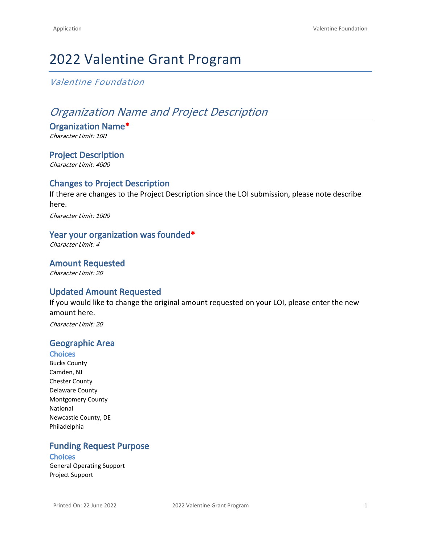# 2022 Valentine Grant Program

# *Valentine Foundation*

# *Organization Name and Project Description*

**Organization Name\*** *Character Limit: 100*

**Project Description** *Character Limit: 4000*

#### **Changes to Project Description**

If there are changes to the Project Description since the LOI submission, please note describe here.

*Character Limit: 1000*

#### **Year your organization was founded\***

*Character Limit: 4*

**Amount Requested**

*Character Limit: 20*

### **Updated Amount Requested**

If you would like to change the original amount requested on your LOI, please enter the new amount here.

*Character Limit: 20*

#### **Geographic Area**

#### **Choices**

Bucks County Camden, NJ Chester County Delaware County Montgomery County National Newcastle County, DE Philadelphia

#### **Funding Request Purpose Choices**

General Operating Support Project Support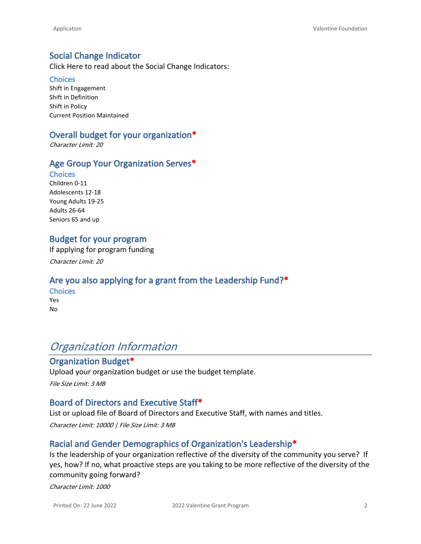#### **Social Change Indicator**

[Click Here](http://www.valentinefoundation.org/wp-content/uploads/2013/01/socialChangeMatrix.pdf) to read about the Social Change Indicators:

#### **Choices**

Shift in Engagement Shift in Definition Shift in Policy Current Position Maintained

#### **Overall budget for your organization\***

*Character Limit: 20*

#### **Age Group Your Organization Serves\***

#### **Choices**

Children 0-11 Adolescents 12-18 Young Adults 19-25 Adults 26-64 Seniors 65 and up

#### **Budget for your program**

If applying for program funding

*Character Limit: 20*

### **Are you also applying for a grant from the Leadership Fund?\***

**Choices** Yes No

# *Organization Information*

# **Organization Budget\***

Upload your organization budget or use the [budget template](http://www.valentinefoundation.org/wp-content/uploads/2014/02/Copy-of-organization-budget-Valentine.xls).

*File Size Limit: 3 MB*

#### **Board of Directors and Executive Staff\***

List or upload file of Board of Directors and Executive Staff, with names and titles.

*Character Limit: 10000 | File Size Limit: 3 MB*

### **Racial and Gender Demographics of Organization's Leadership\***

Is the leadership of your organization reflective of the diversity of the community you serve? If yes, how? If no, what proactive steps are you taking to be more reflective of the diversity of the community going forward?

*Character Limit: 1000*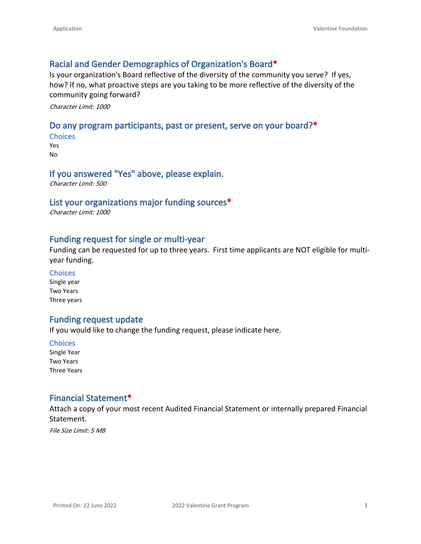#### **Racial and Gender Demographics of Organization's Board\***

Is your organization's Board reflective of the diversity of the community you serve? If yes, how? If no, what proactive steps are you taking to be more reflective of the diversity of the community going forward?

*Character Limit: 1000*

#### **Do any program participants, past or present, serve on your board?\***

**Choices** Yes No

#### **If you answered "Yes" above, please explain.**

*Character Limit: 500*

#### **List your organizations major funding sources\***

*Character Limit: 1000*

#### **Funding request for single or multi-year**

Funding can be requested for up to three years. First time applicants are NOT eligible for multiyear funding.

#### **Choices**

Single year Two Years Three years

#### **Funding request update**

If you would like to change the funding request, please indicate here.

**Choices** Single Year Two Years Three Years

#### **Financial Statement\***

Attach a copy of your most recent Audited Financial Statement or internally prepared Financial Statement.

*File Size Limit: 5 MB*